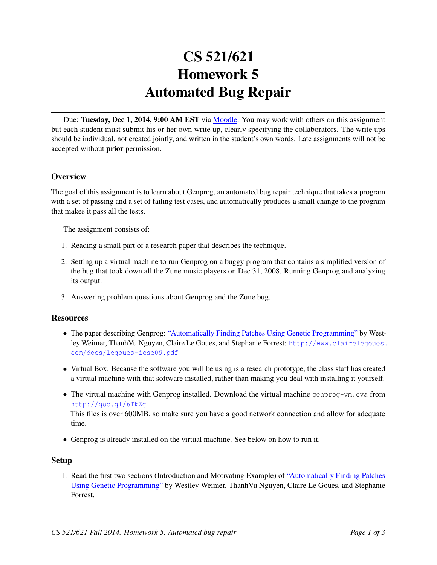# CS 521/621 Homework 5 Automated Bug Repair

Due: Tuesday, Dec 1, 2014, 9:00 AM EST via [Moodle.](https://moodle.umass.edu/course/view.php?id=17268) You may work with others on this assignment but each student must submit his or her own write up, clearly specifying the collaborators. The write ups should be individual, not created jointly, and written in the student's own words. Late assignments will not be accepted without prior permission.

# **Overview**

The goal of this assignment is to learn about Genprog, an automated bug repair technique that takes a program with a set of passing and a set of failing test cases, and automatically produces a small change to the program that makes it pass all the tests.

The assignment consists of:

- 1. Reading a small part of a research paper that describes the technique.
- 2. Setting up a virtual machine to run Genprog on a buggy program that contains a simplified version of the bug that took down all the Zune music players on Dec 31, 2008. Running Genprog and analyzing its output.
- 3. Answering problem questions about Genprog and the Zune bug.

#### **Resources**

- The paper describing Genprog: ["Automatically Finding Patches Using Genetic Programming"](http://www.clairelegoues.com/docs/legoues-icse09.pdf) by Westley Weimer, ThanhVu Nguyen, Claire Le Goues, and Stephanie Forrest: [http://www.clairelegoues.](http://www.clairelegoues.com/docs/legoues-icse09.pdf) [com/docs/legoues-icse09.pdf](http://www.clairelegoues.com/docs/legoues-icse09.pdf)
- Virtual Box. Because the software you will be using is a research prototype, the class staff has created a virtual machine with that software installed, rather than making you deal with installing it yourself.
- The virtual machine with Genprog installed. Download the virtual machine genprog-vm, ova from <http://goo.gl/6TkZg> This files is over 600MB, so make sure you have a good network connection and allow for adequate time.
- Genprog is already installed on the virtual machine. See below on how to run it.

#### Setup

1. Read the first two sections (Introduction and Motivating Example) of ["Automatically Finding Patches](http://www.clairelegoues.com/docs/legoues-icse09.pdf) [Using Genetic Programming"](http://www.clairelegoues.com/docs/legoues-icse09.pdf) by Westley Weimer, ThanhVu Nguyen, Claire Le Goues, and Stephanie Forrest.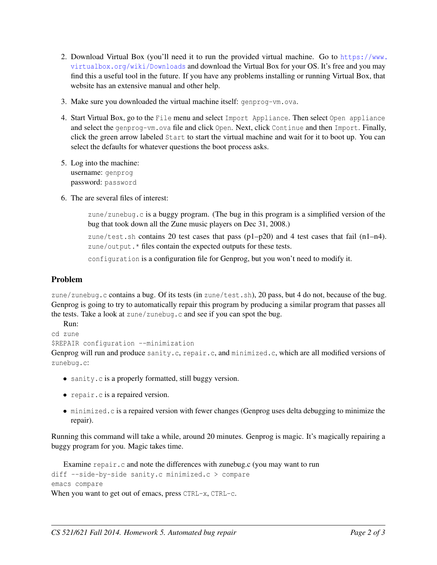- 2. Download Virtual Box (you'll need it to run the provided virtual machine. Go to [https://www.](https://www.virtualbox.org/wiki/Downloads) [virtualbox.org/wiki/Downloads](https://www.virtualbox.org/wiki/Downloads) and download the Virtual Box for your OS. It's free and you may find this a useful tool in the future. If you have any problems installing or running Virtual Box, that website has an extensive manual and other help.
- 3. Make sure you downloaded the virtual machine itself: genprog-vm.ova.
- 4. Start Virtual Box, go to the File menu and select Import Appliance. Then select Open appliance and select the genprog-vm.ova file and click Open. Next, click Continue and then Import. Finally, click the green arrow labeled Start to start the virtual machine and wait for it to boot up. You can select the defaults for whatever questions the boot process asks.
- 5. Log into the machine: username: genprog password: password
- 6. The are several files of interest:

zune/zunebug.c is a buggy program. (The bug in this program is a simplified version of the bug that took down all the Zune music players on Dec 31, 2008.)

zune/test.sh contains 20 test cases that pass  $(p1-p20)$  and 4 test cases that fail  $(n1-n4)$ . zune/output. \* files contain the expected outputs for these tests.

configuration is a configuration file for Genprog, but you won't need to modify it.

# Problem

zune/zunebug.c contains a bug. Of its tests (in zune/test.sh), 20 pass, but 4 do not, because of the bug. Genprog is going to try to automatically repair this program by producing a similar program that passes all the tests. Take a look at zune/zunebug.c and see if you can spot the bug.

```
Run:
cd zune
$REPAIR configuration --minimization
Genprog will run and produce sanity.c, repair.c, and minimized.c, which are all modified versions of
zunebug.c:
```
- sanity. c is a properly formatted, still buggy version.
- repair.c is a repaired version.
- minimized.c is a repaired version with fewer changes (Genprog uses delta debugging to minimize the repair).

Running this command will take a while, around 20 minutes. Genprog is magic. It's magically repairing a buggy program for you. Magic takes time.

```
Examine repair.c and note the differences with zunebug.c (you may want to run
diff --side-by-side sanity.c minimized.c > compare
emacs compare
When you want to get out of emacs, press CTRL-x, CTRL-c.
```